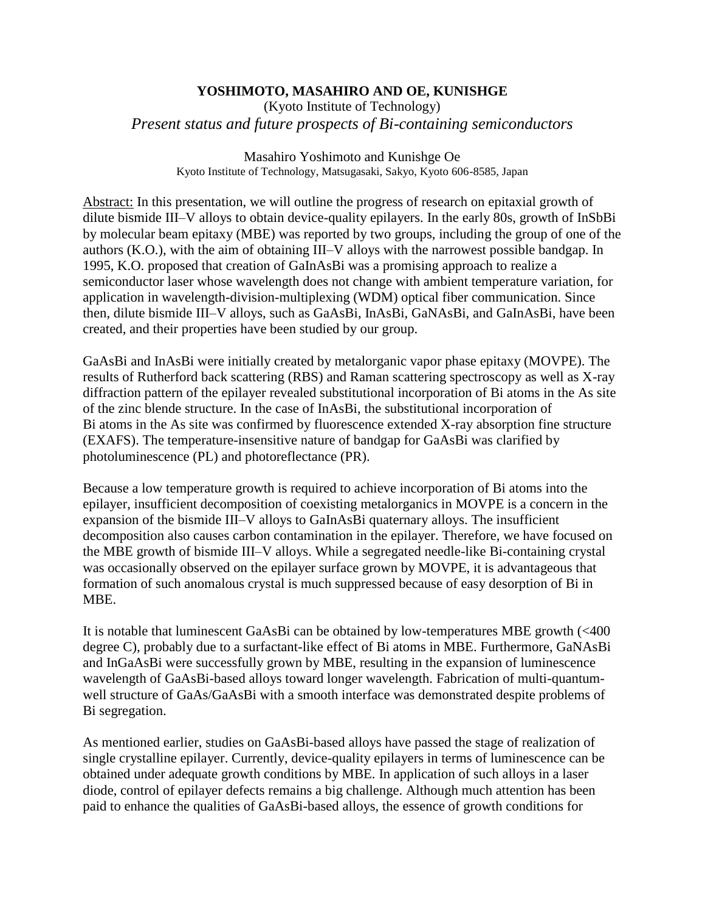## **YOSHIMOTO, MASAHIRO AND OE, KUNISHGE**

(Kyoto Institute of Technology) *Present status and future prospects of Bi-containing semiconductors*

> Masahiro Yoshimoto and Kunishge Oe Kyoto Institute of Technology, Matsugasaki, Sakyo, Kyoto 606-8585, Japan

Abstract: In this presentation, we will outline the progress of research on epitaxial growth of dilute bismide III–V alloys to obtain device-quality epilayers. In the early 80s, growth of InSbBi by molecular beam epitaxy (MBE) was reported by two groups, including the group of one of the authors (K.O.), with the aim of obtaining III–V alloys with the narrowest possible bandgap. In 1995, K.O. proposed that creation of GaInAsBi was a promising approach to realize a semiconductor laser whose wavelength does not change with ambient temperature variation, for application in wavelength-division-multiplexing (WDM) optical fiber communication. Since then, dilute bismide III–V alloys, such as GaAsBi, InAsBi, GaNAsBi, and GaInAsBi, have been created, and their properties have been studied by our group.

GaAsBi and InAsBi were initially created by metalorganic vapor phase epitaxy (MOVPE). The results of Rutherford back scattering (RBS) and Raman scattering spectroscopy as well as X-ray diffraction pattern of the epilayer revealed substitutional incorporation of Bi atoms in the As site of the zinc blende structure. In the case of InAsBi, the substitutional incorporation of Bi atoms in the As site was confirmed by fluorescence extended X-ray absorption fine structure (EXAFS). The temperature-insensitive nature of bandgap for GaAsBi was clarified by photoluminescence (PL) and photoreflectance (PR).

Because a low temperature growth is required to achieve incorporation of Bi atoms into the epilayer, insufficient decomposition of coexisting metalorganics in MOVPE is a concern in the expansion of the bismide III–V alloys to GaInAsBi quaternary alloys. The insufficient decomposition also causes carbon contamination in the epilayer. Therefore, we have focused on the MBE growth of bismide III–V alloys. While a segregated needle-like Bi-containing crystal was occasionally observed on the epilayer surface grown by MOVPE, it is advantageous that formation of such anomalous crystal is much suppressed because of easy desorption of Bi in MBE.

It is notable that luminescent GaAsBi can be obtained by low-temperatures MBE growth (<400 degree C), probably due to a surfactant-like effect of Bi atoms in MBE. Furthermore, GaNAsBi and InGaAsBi were successfully grown by MBE, resulting in the expansion of luminescence wavelength of GaAsBi-based alloys toward longer wavelength. Fabrication of multi-quantumwell structure of GaAs/GaAsBi with a smooth interface was demonstrated despite problems of Bi segregation.

As mentioned earlier, studies on GaAsBi-based alloys have passed the stage of realization of single crystalline epilayer. Currently, device-quality epilayers in terms of luminescence can be obtained under adequate growth conditions by MBE. In application of such alloys in a laser diode, control of epilayer defects remains a big challenge. Although much attention has been paid to enhance the qualities of GaAsBi-based alloys, the essence of growth conditions for